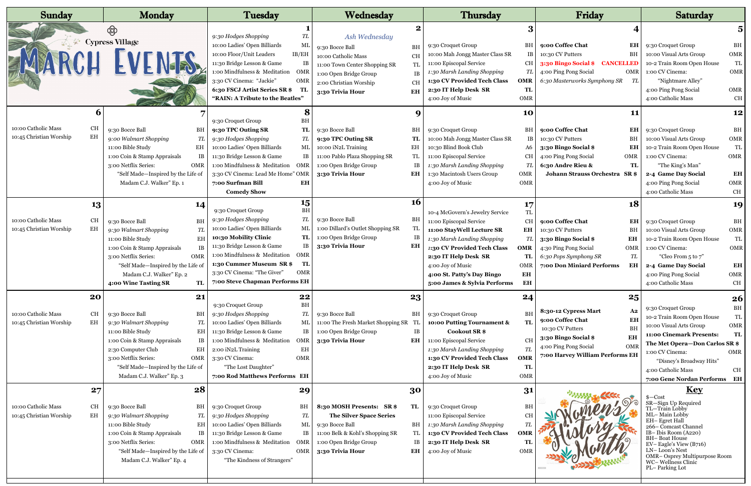| <b>Sunday</b>                                                                    | <b>Monday</b>                                                                                                                                                                                                                                                            | Tuesday                                                                                                                                                                                                                                                                                                                               | Wednesday                                                                                                                                                                                                          | <b>Thursday</b>                                                                                                                                                                                                                                                                                                                              | Friday                                                                                                                                                                                                            | <b>Saturday</b>                                                                                                                                                                                                                                                                                   |
|----------------------------------------------------------------------------------|--------------------------------------------------------------------------------------------------------------------------------------------------------------------------------------------------------------------------------------------------------------------------|---------------------------------------------------------------------------------------------------------------------------------------------------------------------------------------------------------------------------------------------------------------------------------------------------------------------------------------|--------------------------------------------------------------------------------------------------------------------------------------------------------------------------------------------------------------------|----------------------------------------------------------------------------------------------------------------------------------------------------------------------------------------------------------------------------------------------------------------------------------------------------------------------------------------------|-------------------------------------------------------------------------------------------------------------------------------------------------------------------------------------------------------------------|---------------------------------------------------------------------------------------------------------------------------------------------------------------------------------------------------------------------------------------------------------------------------------------------------|
|                                                                                  | இ<br><b>Cypress Village</b><br>DARCH EVENTS,                                                                                                                                                                                                                             | 9:30 Hodges Shopping<br>TL<br>10:00 Ladies' Open Billiards<br>MI<br>10:00 Floor/Unit Leaders<br>IB/EH<br>11:30 Bridge Lesson & Game<br>1:00 Mindfulness & Meditation OMR<br>3:30 CV Cinema: "Jackie"<br>OM<br>6:30 FSCJ Artist Series SR \$TI<br>"RAIN: A Tribute to the Beatles"                                                     | Ash Wednesday<br>BH<br>9:30 Bocce Ball<br>CH<br>10:00 Catholic Mass<br>TL<br>11:00 Town Center Shopping SR<br>1:00 Open Bridge Group<br><b>IB</b><br><b>CH</b><br>2:00 Christian Worship<br>3:30 Trivia Hour<br>EH | 9:30 Croquet Group<br>BH<br>10:00 Mah Jongg Master Class SR<br>IB<br>11:00 Episcopal Service<br>CH<br>1:30 Marsh Landing Shopping<br>TL<br>1:30 CV Provided Tech Class<br><b>OMR</b><br>TL<br>2:30 IT Help Desk SR<br>4:00 Joy of Music<br>OMR                                                                                               | 9:00 Coffee Chat<br>EH<br>10:30 CV Putters<br>BH<br>3:30 Bingo Social \$ CANCELLED<br>4:00 Ping Pong Social<br>OMR<br>6:30 Masterworks Symphony SR<br>TL                                                          | $\overline{\mathbf{5}}$<br>9:30 Croquet Group<br>BH<br>10:00 Visual Arts Group<br>OMR<br>TL<br>10-2 Train Room Open House<br>OMR<br>1:00 CV Cinema:<br>"Nightmare Alley"<br>4:00 Ping Pong Social<br>OMR<br>4:00 Catholic Mass<br><b>CH</b>                                                       |
| $\mathbf b$<br>10:00 Catholic Mass<br><b>CH</b><br>10:45 Christian Worship<br>EH | 9:30 Bocce Ball<br>ВH<br>9:00 Walmart Shopping<br>TL<br>11:00 Bible Study<br>EH<br>1:00 Coin & Stamp Appraisals<br>IB<br>3:00 Netflix Series:<br>OMR<br>"Self Made-Inspired by the Life of<br>Madam C.J. Walker" Ep. 1                                                   | 8<br>ВH<br>9:30 Croquet Group<br>9:30 TPC Outing SR<br>TL<br>9:30 Hodges Shopping<br>TL<br>10:00 Ladies' Open Billiards<br>ML<br>11:30 Bridge Lesson & Game<br>IB<br>1:00 Mindfulness & Meditation<br>OMR<br>3:30 CV Cinema: Lead Me Home" OMR<br>7:00 Surfman Bill<br>EH<br><b>Comedy Show</b>                                       | 9:30 Bocce Ball<br>BH<br>9:30 TPC Outing SR<br>TL<br>10:00 iN2L Training<br>EH<br>TL<br>11:00 Pablo Plaza Shopping SR<br>1:00 Open Bridge Group<br>IB<br>3:30 Trivia Hour<br>EН                                    | 10<br>9:30 Croquet Group<br>ВH<br>10:00 Mah Jongg Master Class SR<br>IB<br>10:30 Blind Book Club<br>A6<br>11:00 Episcopal Service<br><b>CH</b><br>TL<br>1:30 Marsh Landing Shopping<br>1:30 Macintosh Users Group<br>OMR<br>4:00 Joy of Music<br>OMR                                                                                         | 11<br>9:00 Coffee Chat<br>EH<br>10:30 CV Putters<br>BH<br>3:30 Bingo Social \$<br>EH<br>4:00 Ping Pong Social<br>OMR<br>6:30 Andre Rieu &<br>TL<br>Johann Strauss Orchestra SR \$                                 | 12<br>BH<br>9:30 Croquet Group<br>10:00 Visual Arts Group<br>OMR<br>TL<br>10-2 Train Room Open House<br>1:00 CV Cinema:<br>OMR<br>"The King's Man"<br>EH<br>2-4 Game Day Social<br>OMR<br>4:00 Ping Pong Social<br>4:00 Catholic Mass<br>CH                                                       |
| 13<br>10:00 Catholic Mass<br><b>CH</b><br>10:45 Christian Worship<br>EH          | 14<br><b>BH</b><br>9:30 Bocce Ball<br><b>TL</b><br>9:30 Walmart Shopping<br>11:00 Bible Study<br>EH<br>1:00 Coin & Stamp Appraisals<br>IB<br>3:00 Netflix Series:<br>OMR<br>"Self Made-Inspired by the Life of<br>Madam C.J. Walker" Ep. 2<br>4:00 Wine Tasting SR<br>TL | 15<br>ВH<br>9:30 Croquet Group<br>TL<br>9:30 Hodges Shopping<br>10:00 Ladies' Open Billiards<br>ML<br>10:30 Mobility Clinic<br><b>TL</b><br>11:30 Bridge Lesson & Game<br>IB<br>1:00 Mindfulness & Meditation<br>OMR<br><b>TL</b><br>1:30 Cummer Museum SR \$<br>3:30 CV Cinema: "The Giver"<br>OMR<br>7:00 Steve Chapman Performs EH | <b>16</b><br>9:30 Bocce Ball<br>BH<br>1:00 Dillard's Outlet Shopping SR<br>TL<br>1:00 Open Bridge Group<br>3:30 Trivia Hour<br>EН                                                                                  | 17<br>TL<br>10-4 McGovern's Jewelry Service<br>11:00 Episcopal Service<br><b>CH</b><br>11:00 StayWell Lecture SR<br>EH<br>1:30 Marsh Landing Shopping<br>TL<br>1:30 CV Provided Tech Class<br><b>OMR</b><br>2:30 IT Help Desk SR<br>TL<br>4:00 Joy of Music<br>OMR<br>EH<br>4:00 St. Patty's Day Bingo<br>5:00 James & Sylvia Performs<br>ЕH | 18<br>9:00 Coffee Chat<br>EH<br>10:30 CV Putters<br>BH<br>3:30 Bingo Social \$<br>EH<br>4:30 Ping Pong Social<br>OMR<br>${\cal T\!L}$<br>6:30 Pops Symphony SR<br>7:00 Don Miniard Performs<br>ЕH                 | 19<br>BH<br>9:30 Croquet Group<br>OMR<br>10:00 Visual Arts Group<br>TL<br>10-2 Train Room Open House<br>1:00 CV Cinema:<br>OMR<br>"Cleo From 5 to 7"<br>2-4 Game Day Social<br>EH<br>OMR<br>4:00 Ping Pong Social<br>4:00 Catholic Mass<br>CH                                                     |
| 20<br>10:00 Catholic Mass<br><b>CH</b><br>EH<br>10:45 Christian Worship          | 21<br>9:30 Bocce Ball<br>ВH<br>9:30 Walmart Shopping<br>TL<br>EH<br>11:00 Bible Study<br>1:00 Coin & Stamp Appraisals<br>IB<br>2:30 Computer Club<br>EH<br>3:00 Netflix Series:<br><b>OMR</b><br>"Self Made-Inspired by the Life of<br>Madam C.J. Walker" Ep. 3          | 22<br>BH<br>9:30 Croquet Group<br>9:30 Hodges Shopping<br>TL<br>10:00 Ladies' Open Billiards<br>ML<br>11:30 Bridge Lesson & Game<br>IB<br>1:00 Mindfulness & Meditation<br>OMR<br>2:00 iN2L Training<br>EH<br>3:30 CV Cinema:<br>OMR<br>"The Lost Daughter"<br>7:00 Rod Matthews Performs EH                                          | 23<br>9:30 Bocce Ball<br>BH<br>11:00 The Fresh Market Shopping SR<br>1:00 Open Bridge Group<br>IB<br>3:30 Trivia Hour<br>EH                                                                                        | 24<br><b>BH</b><br>9:30 Croquet Group<br>TL<br>10:00 Putting Tournament &<br><b>Cookout SR \$</b><br><b>CH</b><br>11:00 Episcopal Service<br><b>TL</b><br>1:30 Marsh Landing Shopping<br><b>OMR</b><br>1:30 CV Provided Tech Class<br>2:30 IT Help Desk SR<br>TL<br>4:00 Joy of Music<br>OMR                                                 | 25<br>8:30-12 Cypress Mart<br>$\bf{A2}$<br><b>EH</b><br>9:00 Coffee Chat<br><b>BH</b><br>10:30 CV Putters<br><b>EH</b><br>3:30 Bingo Social \$<br>OMR<br>4:00 Ping Pong Social<br>7:00 Harvey William Performs EH | <b>26</b><br>9:30 Croquet Group<br>ВH<br>TL<br>10-2 Train Room Open House<br>10:00 Visual Arts Group<br>OMR<br>11:00 Cinemark Presents:<br>TL<br>The Met Opera-Don Carlos SR \$<br>1:00 CV Cinema:<br>OMR<br>"Disney's Broadway Hits"<br>CH<br>4:00 Catholic Mass<br>7:00 Gene Nordan Performs EH |
| 27<br>10:00 Catholic Mass<br><b>CH</b><br>10:45 Christian Worship<br>EH          | 28<br>9:30 Bocce Ball<br>ВH<br>9:30 Walmart Shopping<br>TL<br>11:00 Bible Study<br>ЕH<br>1:00 Coin & Stamp Appraisals<br>ΙB<br>3:00 Netflix Series:<br>OMR<br>"Self Made-Inspired by the Life of<br>Madam C.J. Walker" Ep. 4                                             | 29<br>9:30 Croquet Group<br>BН<br>TL<br>9:30 Hodges Shopping<br>10:00 Ladies' Open Billiards<br>ML  <br>11:30 Bridge Lesson & Game<br>IB<br>1:00 Mindfulness & Meditation<br>OMR<br>3:30 CV Cinema:<br>OMR<br>"The Kindness of Strangers"                                                                                             | 30<br>8:30 MOSH Presents: SR\$<br>TL<br><b>The Silver Space Series</b><br>9:30 Bocce Ball<br>BH<br>11:00 Belk & Kohl's Shopping SR<br>TL<br>1:00 Open Bridge Group<br>IB<br>3:30 Trivia Hour<br>EH                 | 31<br>9:30 Croquet Group<br>ВH<br><b>CH</b><br>11:00 Episcopal Service<br><b>TL</b><br>1:30 Marsh Landing Shopping<br>1:30 CV Provided Tech Class<br><b>OMR</b><br>TL<br>2:30 IT Help Desk SR<br>OMR<br>4:00 Joy of Music                                                                                                                    |                                                                                                                                                                                                                   | <u>Key</u><br>$s$ – Cost<br>SR-Sign Up Required<br>TL-Train Lobby<br>ML-Main Lobby<br>EH-Egret Hall<br>266 - Comcast Channel<br>IB-Ibis Room (A220)<br>BH-Boat House<br>EV-Eagle's View (B716)<br>LN-Loon's Nest<br>OMR-Osprey Multipurpose Room<br>WC-Wellness Clinic<br>PL-Parking Lot          |